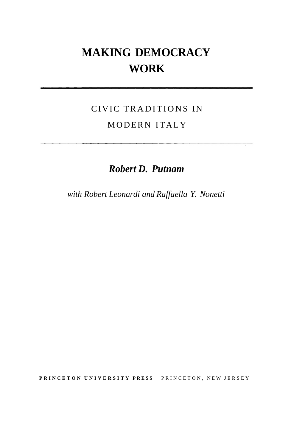# **MAKING DEMOCRACY WORK**

## CIVIC TRADITIONS IN MODERN ITALY

### *Robert D. Putnam*

*with Robert Leonardi and Raffaella Y. Nonetti*

**PRINCETO N UNIVERSIT Y PRES S** PRINCETON , NE W JERSE Y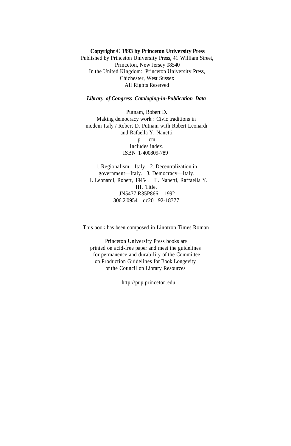#### **Copyright © 1993 by Princeton University Press**

Published by Princeton University Press, 41 William Street, Princeton, New Jersey 08540 In the United Kingdom: Princeton University Press, Chichester, West Sussex All Rights Reserved

### *Library of Congress Cataloging-in-Publication Data*

Putnam, Robert D. Making democracy work : Civic traditions in modem Italy / Robert D. Putnam with Robert Leonardi and Rafaella Y. Nanetti p. cm.

Includes index. ISBN 1-400809-789

1. Regionalism—Italy. 2. Decentralization in government—Italy. 3. Democracy—Italy. I. Leonardi, Robert, 1945- . II. Nanetti, Raffaella Y. III. Title. JN5477.R35P866 1992 306.2'0954—dc20 92-18377

This book has been composed in Linotron Times Roman

Princeton University Press books are printed on acid-free paper and meet the guidelines for permanence and durability of the Committee on Production Guidelines for Book Longevity of the Council on Library Resources

http://pup.princeton.edu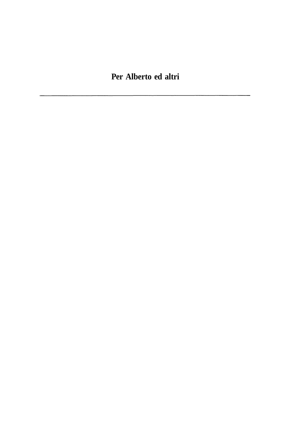**Per Alberto ed altri**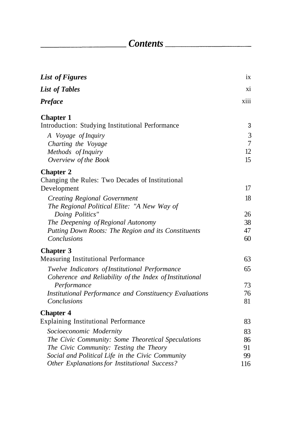$\overline{a}$ 

| <b>List of Figures</b>                                  | ix             |
|---------------------------------------------------------|----------------|
| <b>List of Tables</b>                                   | xi             |
| Preface                                                 | xiii           |
| <b>Chapter 1</b>                                        |                |
| Introduction: Studying Institutional Performance        | 3              |
| A Voyage of Inquiry                                     | 3              |
| Charting the Voyage                                     | $\overline{7}$ |
| Methods of Inquiry                                      | 12             |
| Overview of the Book                                    | 15             |
| <b>Chapter 2</b>                                        |                |
| Changing the Rules: Two Decades of Institutional        |                |
| Development                                             | 17             |
| <b>Creating Regional Government</b>                     | 18             |
| The Regional Political Elite: "A New Way of             |                |
| Doing Politics"                                         | 26             |
| The Deepening of Regional Autonomy                      | 38             |
| Putting Down Roots: The Region and its Constituents     | 47             |
| Conclusions                                             | 60             |
| <b>Chapter 3</b>                                        |                |
| Measuring Institutional Performance                     | 63             |
| Twelve Indicators of Institutional Performance          | 65             |
| Coherence and Reliability of the Index of Institutional |                |
| Performance                                             | 73             |
| Institutional Performance and Constituency Evaluations  | 76             |
| <b>Conclusions</b>                                      | 81             |
| <b>Chapter 4</b>                                        |                |
| <b>Explaining Institutional Performance</b>             | 83             |
| Socioeconomic Modernity                                 | 83             |
| The Civic Community: Some Theoretical Speculations      | 86             |
| The Civic Community: Testing the Theory                 | 91             |
| Social and Political Life in the Civic Community        | 99             |
| Other Explanations for Institutional Success?           | 116            |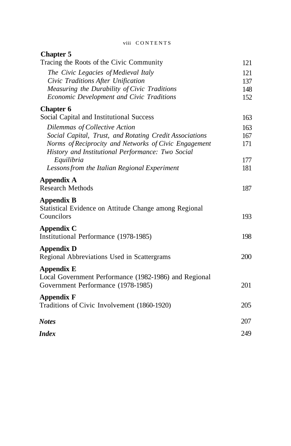| <b>Chapter 5</b>                                                                          |     |
|-------------------------------------------------------------------------------------------|-----|
| Tracing the Roots of the Civic Community                                                  | 121 |
| The Civic Legacies of Medieval Italy                                                      | 121 |
| Civic Traditions After Unification                                                        | 137 |
| Measuring the Durability of Civic Traditions                                              | 148 |
| Economic Development and Civic Traditions                                                 | 152 |
| <b>Chapter 6</b>                                                                          |     |
| Social Capital and Institutional Success                                                  | 163 |
| Dilemmas of Collective Action                                                             | 163 |
| Social Capital, Trust, and Rotating Credit Associations                                   | 167 |
| Norms of Reciprocity and Networks of Civic Engagement                                     | 171 |
| History and Institutional Performance: Two Social                                         |     |
| Equilibria                                                                                | 177 |
| Lessons from the Italian Regional Experiment                                              | 181 |
| <b>Appendix A</b>                                                                         |     |
| <b>Research Methods</b>                                                                   | 187 |
| <b>Appendix B</b><br>Statistical Evidence on Attitude Change among Regional<br>Councilors | 193 |
| <b>Appendix C</b>                                                                         |     |
| Institutional Performance (1978-1985)                                                     | 198 |
| <b>Appendix D</b>                                                                         |     |
| Regional Abbreviations Used in Scattergrams                                               | 200 |
| <b>Appendix E</b>                                                                         |     |
| Local Government Performance (1982-1986) and Regional                                     |     |
| Government Performance (1978-1985)                                                        | 201 |
| <b>Appendix F</b>                                                                         |     |
| Traditions of Civic Involvement (1860-1920)                                               | 205 |
| <b>Notes</b>                                                                              | 207 |
| <i>Index</i>                                                                              | 249 |
|                                                                                           |     |

viii CONTENTS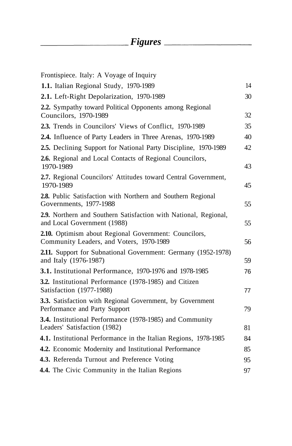<span id="page-6-0"></span>

| Frontispiece. Italy: A Voyage of Inquiry                                                          |    |
|---------------------------------------------------------------------------------------------------|----|
| 1.1. Italian Regional Study, 1970-1989                                                            | 14 |
| 2.1. Left-Right Depolarization, 1970-1989                                                         | 30 |
| 2.2. Sympathy toward Political Opponents among Regional<br>Councilors, 1970-1989                  | 32 |
| 2.3. Trends in Councilors' Views of Conflict, 1970-1989                                           | 35 |
| 2.4. Influence of Party Leaders in Three Arenas, 1970-1989                                        | 40 |
| 2.5. Declining Support for National Party Discipline, 1970-1989                                   | 42 |
| 2.6. Regional and Local Contacts of Regional Councilors,<br>1970-1989                             | 43 |
| 2.7. Regional Councilors' Attitudes toward Central Government,<br>1970-1989                       | 45 |
| 2.8. Public Satisfaction with Northern and Southern Regional<br>Governments, 1977-1988            | 55 |
| 2.9. Northern and Southern Satisfaction with National, Regional,<br>and Local Government (1988)   | 55 |
| 2.10. Optimism about Regional Government: Councilors,<br>Community Leaders, and Voters, 1970-1989 | 56 |
| 2.11. Support for Subnational Government: Germany (1952-1978)<br>and Italy (1976-1987)            | 59 |
| 3.1. Institutional Performance, 1970-1976 and 1978-1985                                           | 76 |
| 3.2. Institutional Performance (1978-1985) and Citizen                                            |    |
| Satisfaction (1977-1988)                                                                          | 77 |
| 3.3. Satisfaction with Regional Government, by Government<br>Performance and Party Support        | 79 |
| 3.4. Institutional Performance (1978-1985) and Community<br>Leaders' Satisfaction (1982)          | 81 |
| 4.1. Institutional Performance in the Italian Regions, 1978-1985                                  | 84 |
| 4.2. Economic Modernity and Institutional Performance                                             | 85 |
| 4.3. Referenda Turnout and Preference Voting                                                      | 95 |
| 4.4. The Civic Community in the Italian Regions                                                   | 97 |
|                                                                                                   |    |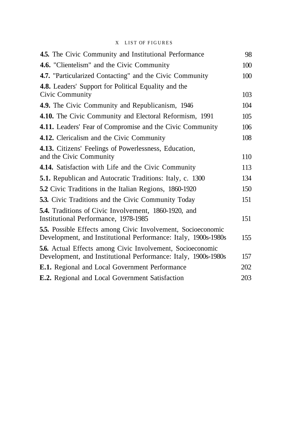### X LIST OF FIGURES

| 4.5. The Civic Community and Institutional Performance                                                                         | 98  |
|--------------------------------------------------------------------------------------------------------------------------------|-----|
| <b>4.6.</b> "Clientelism" and the Civic Community                                                                              | 100 |
| 4.7. "Particularized Contacting" and the Civic Community                                                                       | 100 |
| 4.8. Leaders' Support for Political Equality and the<br>Civic Community                                                        | 103 |
| <b>4.9.</b> The Civic Community and Republicanism, 1946                                                                        | 104 |
| 4.10. The Civic Community and Electoral Reformism, 1991                                                                        | 105 |
| 4.11. Leaders' Fear of Compromise and the Civic Community                                                                      | 106 |
| 4.12. Clericalism and the Civic Community                                                                                      | 108 |
| 4.13. Citizens' Feelings of Powerlessness, Education,<br>and the Civic Community                                               | 110 |
| 4.14. Satisfaction with Life and the Civic Community                                                                           | 113 |
| <b>5.1.</b> Republican and Autocratic Traditions: Italy, c. 1300                                                               | 134 |
| 5.2 Civic Traditions in the Italian Regions, 1860-1920                                                                         | 150 |
| <b>5.3.</b> Civic Traditions and the Civic Community Today                                                                     | 151 |
| <b>5.4.</b> Traditions of Civic Involvement, 1860-1920, and<br>Institutional Performance, 1978-1985                            | 151 |
| 5.5. Possible Effects among Civic Involvement, Socioeconomic<br>Development, and Institutional Performance: Italy, 1900s-1980s | 155 |
| 5.6. Actual Effects among Civic Involvement, Socioeconomic<br>Development, and Institutional Performance: Italy, 1900s-1980s   | 157 |
| <b>E.1.</b> Regional and Local Government Performance                                                                          | 202 |
| <b>E.2.</b> Regional and Local Government Satisfaction                                                                         | 203 |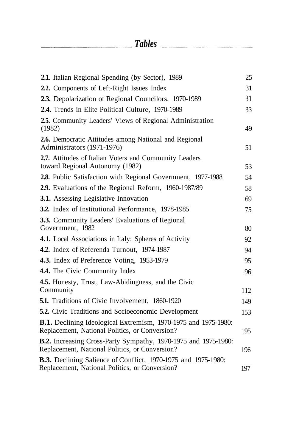*Tables*

<span id="page-8-0"></span>

| 2.1. Italian Regional Spending (by Sector), 1989                                                                        | 25  |
|-------------------------------------------------------------------------------------------------------------------------|-----|
| 2.2. Components of Left-Right Issues Index                                                                              | 31  |
| 2.3. Depolarization of Regional Councilors, 1970-1989                                                                   | 31  |
| 2.4. Trends in Elite Political Culture, 1970-1989                                                                       | 33  |
| 2.5. Community Leaders' Views of Regional Administration<br>(1982)                                                      | 49  |
| 2.6. Democratic Attitudes among National and Regional<br>Administrators (1971-1976)                                     | 51  |
| 2.7. Attitudes of Italian Voters and Community Leaders<br>toward Regional Autonomy (1982)                               | 53  |
| 2.8. Public Satisfaction with Regional Government, 1977-1988                                                            | 54  |
| 2.9. Evaluations of the Regional Reform, 1960-1987/89                                                                   | 58  |
| 3.1. Assessing Legislative Innovation                                                                                   | 69  |
| 3.2. Index of Institutional Performance, 1978-1985                                                                      | 75  |
| 3.3. Community Leaders' Evaluations of Regional<br>Government, 1982                                                     | 80  |
| 4.1. Local Associations in Italy: Spheres of Activity                                                                   | 92  |
| 4.2. Index of Referenda Turnout, 1974-1987                                                                              | 94  |
| <b>4.3.</b> Index of Preference Voting, 1953-1979                                                                       | 95  |
| 4.4. The Civic Community Index                                                                                          | 96  |
| 4.5. Honesty, Trust, Law-Abidingness, and the Civic                                                                     |     |
| Community                                                                                                               | 112 |
| <b>5.1.</b> Traditions of Civic Involvement, 1860-1920                                                                  | 149 |
| <b>5.2.</b> Civic Traditions and Socioeconomic Development                                                              | 153 |
| <b>B.1.</b> Declining Ideological Extremism, 1970-1975 and 1975-1980:<br>Replacement, National Politics, or Conversion? | 195 |
| <b>B.2.</b> Increasing Cross-Party Sympathy, 1970-1975 and 1975-1980:<br>Replacement, National Politics, or Conversion? | 196 |
| <b>B.3.</b> Declining Salience of Conflict, 1970-1975 and 1975-1980:<br>Replacement, National Politics, or Conversion?  | 197 |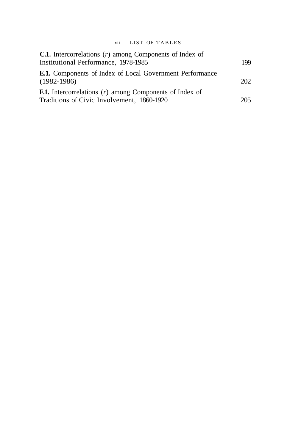### xii LIST OF TABLE S

| <b>C.1.</b> Intercorrelations $(r)$ among Components of Index of                   |     |
|------------------------------------------------------------------------------------|-----|
| Institutional Performance, 1978-1985                                               | 199 |
| <b>E.1.</b> Components of Index of Local Government Performance<br>$(1982 - 1986)$ | 202 |
| <b>F.1.</b> Intercorrelations $(r)$ among Components of Index of                   |     |
| Traditions of Civic Involvement, 1860-1920                                         | 205 |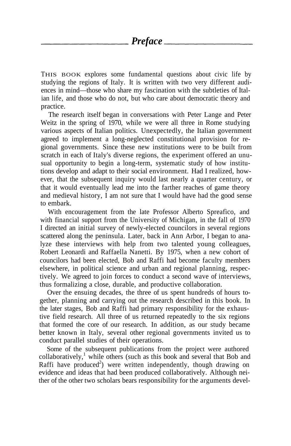<span id="page-10-0"></span>THIS BOOK explores some fundamental questions about civic life by studying the regions of Italy. It is written with two very different audiences in mind—those who share my fascination with the subtleties of Italian life, and those who do not, but who care about democratic theory and practice.

The research itself began in conversations with Peter Lange and Peter Weitz in the spring of 1970, while we were all three in Rome studying various aspects of Italian politics. Unexpectedly, the Italian government agreed to implement a long-neglected constitutional provision for regional governments. Since these new institutions were to be built from scratch in each of Italy's diverse regions, the experiment offered an unusual opportunity to begin a long-term, systematic study of how institutions develop and adapt to their social environment. Had I realized, however, that the subsequent inquiry would last nearly a quarter century, or that it would eventually lead me into the farther reaches of game theory and medieval history, I am not sure that I would have had the good sense to embark.

With encouragement from the late Professor Alberto Spreafìco, and with financial support from the University of Michigan, in the fall of 1970 I directed an initial survey of newly-elected councilors in several regions scattered along the peninsula. Later, back in Ann Arbor, I began to analyze these interviews with help from two talented young colleagues, Robert Leonardi and Raffaella Nanetti. By 1975, when a new cohort of councilors had been elected, Bob and Raffi had become faculty members elsewhere, in political science and urban and regional planning, respectively. We agreed to join forces to conduct a second wave of interviews, thus formalizing a close, durable, and productive collaboration.

Over the ensuing decades, the three of us spent hundreds of hours together, planning and carrying out the research described in this book. In the later stages, Bob and Raffi had primary responsibility for the exhaustive field research. All three of us returned repeatedly to the six regions that formed the core of our research. In addition, as our study became better known in Italy, several other regional governments invited us to conduct parallel studies of their operations.

Some of the subsequent publications from the project were authored collaboratively,<sup>1</sup> while others (such as this book and several that Bob and Raffi have produced<sup>2</sup>) were written independently, though drawing on evidence and ideas that had been produced collaboratively. Although neither of the other two scholars bears responsibility for the arguments devel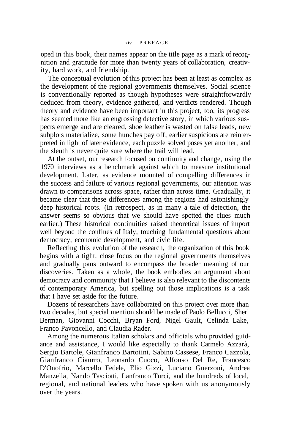oped in this book, their names appear on the title page as a mark of recognition and gratitude for more than twenty years of collaboration, creativity, hard work, and friendship.

The conceptual evolution of this project has been at least as complex as the development of the regional governments themselves. Social science is conventionally reported as though hypotheses were straightforwardly deduced from theory, evidence gathered, and verdicts rendered. Though theory and evidence have been important in this project, too, its progress has seemed more like an engrossing detective story, in which various suspects emerge and are cleared, shoe leather is wasted on false leads, new subplots materialize, some hunches pay off, earlier suspicions are reinterpreted in light of later evidence, each puzzle solved poses yet another, and the sleuth is never quite sure where the trail will lead.

At the outset, our research focused on continuity and change, using the 1970 interviews as a benchmark against which to measure institutional development. Later, as evidence mounted of compelling differences in the success and failure of various regional governments, our attention was drawn to comparisons across space, rather than across time. Gradually, it became clear that these differences among the regions had astonishingly deep historical roots. (In retrospect, as in many a tale of detection, the answer seems so obvious that we should have spotted the clues much earlier.) These historical continuities raised theoretical issues of import well beyond the confines of Italy, touching fundamental questions about democracy, economic development, and civic life.

Reflecting this evolution of the research, the organization of this book begins with a tight, close focus on the regional governments themselves and gradually pans outward to encompass the broader meaning of our discoveries. Taken as a whole, the book embodies an argument about democracy and community that I believe is also relevant to the discontents of contemporary America, but spelling out those implications is a task that I have set aside for the future.

Dozens of researchers have collaborated on this project over more than two decades, but special mention should be made of Paolo Bellucci, Sheri Berman, Giovanni Cocchi, Bryan Ford, Nigel Gault, Celinda Lake, Franco Pavoncello, and Claudia Rader.

Among the numerous Italian scholars and officials who provided guidance and assistance, I would like especially to thank Carmelo Azzarà, Sergio Bartole, Gianfranco Bartoiini, Sabino Cassese, Franco Cazzola, Gianfranco Ciaurro, Leonardo Cuoco, Alfonso Del Re, Francesco D'Onofrio, Marcello Fedele, Elio Gizzi, Luciano Guerzoni, Andrea Manzella, Nando Tasciotti, Lanfranco Turci, and the hundreds of local, regional, and national leaders who have spoken with us anonymously over the years.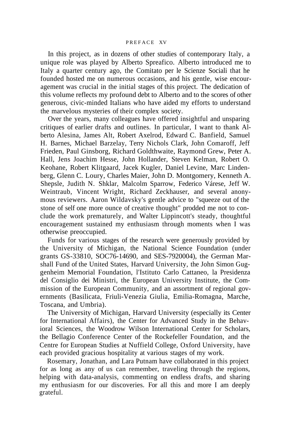In this project, as in dozens of other studies of contemporary Italy, a unique role was played by Alberto Spreafico. Alberto introduced me to Italy a quarter century ago, the Comitato per le Scienze Sociali that he founded hosted me on numerous occasions, and his gentle, wise encouragement was crucial in the initial stages of this project. The dedication of this volume reflects my profound debt to Alberto and to the scores of other generous, civic-minded Italians who have aided my efforts to understand the marvelous mysteries of their complex society.

Over the years, many colleagues have offered insightful and unsparing critiques of earlier drafts and outlines. In particular, I want to thank Alberto Alesina, James Alt, Robert Axelrod, Edward C. Banfield, Samuel H. Barnes, Michael Barzelay, Terry Nichols Clark, John Comaroff, Jeff Frieden, Paul Ginsborg, Richard Goldthwaite, Raymond Grew, Peter A. Hall, Jens Joachim Hesse, John Hollander, Steven Kelman, Robert O. Keohane, Robert Klitgaard, Jacek Kugler, Daniel Levine, Marc Lindenberg, Glenn C. Loury, Charles Maier, John D. Montgomery, Kenneth A. Shepsle, Judith N. Shklar, Malcolm Sparrow, Federico Várese, Jeff W. Weintraub, Vincent Wright, Richard Zeckhauser, and several anonymous reviewers. Aaron Wildavsky's gentle advice to "squeeze out of the stone of self one more ounce of creative thought" prodded me not to conclude the work prematurely, and Walter Lippincott's steady, thoughtful encouragement sustained my enthusiasm through moments when I was otherwise preoccupied.

Funds for various stages of the research were generously provided by the University of Michigan, the National Science Foundation (under grants GS-33810, SOC76-14690, and SES-7920004), the German Marshall Fund of the United States, Harvard University, the John Simon Guggenheim Memorial Foundation, l'Istituto Carlo Cattaneo, la Presidenza del Consiglio dei Ministri, the European University Institute, the Commission of the European Community, and an assortment of regional governments (Basilicata, Friuli-Venezia Giulia, Emilia-Romagna, Marche, Toscana, and Umbria).

The University of Michigan, Harvard University (especially its Center for International Affairs), the Center for Advanced Study in the Behavioral Sciences, the Woodrow Wilson International Center for Scholars, the Bellagio Conference Center of the Rockefeller Foundation, and the Centre for European Studies at Nuffield College, Oxford University, have each provided gracious hospitality at various stages of my work.

Rosemary, Jonathan, and Lara Putnam have collaborated in this project for as long as any of us can remember, traveling through the regions, helping with data-analysis, commenting on endless drafts, and sharing my enthusiasm for our discoveries. For all this and more I am deeply grateful.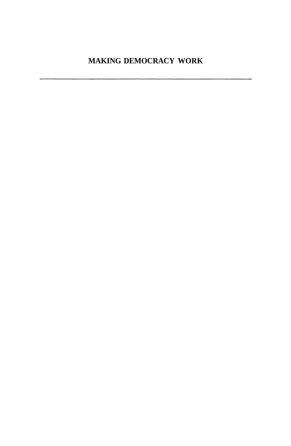**MAKING DEMOCRACY WORK**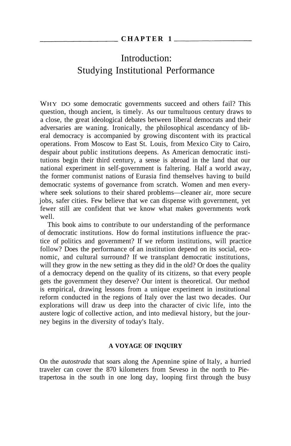### Introduction: Studying Institutional Performance

<span id="page-16-0"></span>WHY DO some democratic governments succeed and others fail? This question, though ancient, is timely. As our tumultuous century draws to a close, the great ideological debates between liberal democrats and their adversaries are waning. Ironically, the philosophical ascendancy of liberal democracy is accompanied by growing discontent with its practical operations. From Moscow to East St. Louis, from Mexico City to Cairo, despair about public institutions deepens. As American democratic institutions begin their third century, a sense is abroad in the land that our national experiment in self-government is faltering. Half a world away, the former communist nations of Eurasia find themselves having to build democratic systems of governance from scratch. Women and men everywhere seek solutions to their shared problems—cleaner air, more secure jobs, safer cities. Few believe that we can dispense with government, yet fewer still are confident that we know what makes governments work well.

This book aims to contribute to our understanding of the performance of democratic institutions. How do formal institutions influence the practice of politics and government? If we reform institutions, will practice follow? Does the performance of an institution depend on its social, economic, and cultural surround? If we transplant democratic institutions, will they grow in the new setting as they did in the old? Or does the quality of a democracy depend on the quality of its citizens, so that every people gets the government they deserve? Our intent is theoretical. Our method is empirical, drawing lessons from a unique experiment in institutional reform conducted in the regions of Italy over the last two decades. Our explorations will draw us deep into the character of civic life, into the austere logic of collective action, and into medieval history, but the journey begins in the diversity of today's Italy.

### **A VOYAGE OF INQUIRY**

On the *autostrada* that soars along the Apennine spine of Italy, a hurried traveler can cover the 870 kilometers from Seveso in the north to Pietrapertosa in the south in one long day, looping first through the busy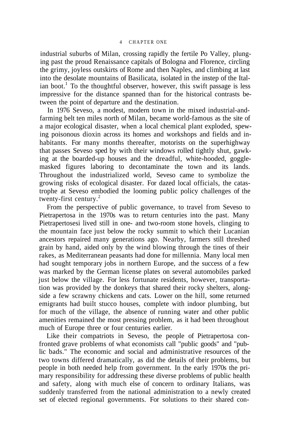industrial suburbs of Milan, crossing rapidly the fertile Po Valley, plunging past the proud Renaissance capitals of Bologna and Florence, circling the grimy, joyless outskirts of Rome and then Naples, and climbing at last into the desolate mountains of Basilicata, isolated in the instep of the Italian boot.<sup>1</sup> To the thoughtful observer, however, this swift passage is less impressive for the distance spanned than for the historical contrasts between the point of departure and the destination.

In 1976 Seveso, a modest, modern town in the mixed industrial-andfarming belt ten miles north of Milan, became world-famous as the site of a major ecological disaster, when a local chemical plant exploded, spewing poisonous dioxin across its homes and workshops and fields and inhabitants. For many months thereafter, motorists on the superhighway that passes Seveso sped by with their windows rolled tightly shut, gawking at the boarded-up houses and the dreadful, white-hooded, gogglemasked figures laboring to decontaminate the town and its lands. Throughout the industrialized world, Seveso came to symbolize the growing risks of ecological disaster. For dazed local officials, the catastrophe at Seveso embodied the looming public policy challenges of the twenty-first century.<sup>2</sup>

From the perspective of public governance, to travel from Seveso to Pietrapertosa in the 1970s was to return centuries into the past. Many Pietrapertosesi lived still in one- and two-room stone hovels, clinging to the mountain face just below the rocky summit to which their Lucanian ancestors repaired many generations ago. Nearby, farmers still threshed grain by hand, aided only by the wind blowing through the tines of their rakes, as Mediterranean peasants had done for millennia. Many local men had sought temporary jobs in northern Europe, and the success of a few was marked by the German license plates on several automobiles parked just below the village. For less fortunate residents, however, transportation was provided by the donkeys that shared their rocky shelters, alongside a few scrawny chickens and cats. Lower on the hill, some returned emigrants had built stucco houses, complete with indoor plumbing, but for much of the village, the absence of running water and other public amenities remained the most pressing problem, as it had been throughout much of Europe three or four centuries earlier.

Like their compatriots in Seveso, the people of Pietrapertosa confronted grave problems of what economists call "public goods" and "public bads." The economic and social and administrative resources of the two towns differed dramatically, as did the details of their problems, but people in both needed help from government. In the early 1970s the primary responsibility for addressing these diverse problems of public health and safety, along with much else of concern to ordinary Italians, was suddenly transferred from the national administration to a newly created set of elected regional governments. For solutions to their shared con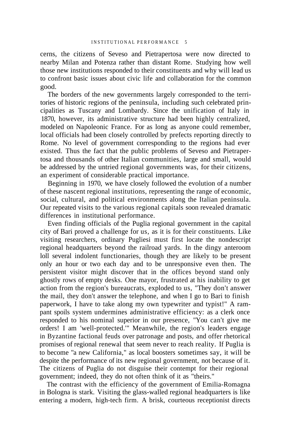cerns, the citizens of Seveso and Pietrapertosa were now directed to nearby Milan and Potenza rather than distant Rome. Studying how well those new institutions responded to their constituents and why will lead us to confront basic issues about civic life and collaboration for the common good.

The borders of the new governments largely corresponded to the territories of historic regions of the peninsula, including such celebrated principalities as Tuscany and Lombardy. Since the unification of Italy in 1870, however, its administrative structure had been highly centralized, modeled on Napoleonic France. For as long as anyone could remember, local officials had been closely controlled by prefects reporting directly to Rome. No level of government corresponding to the regions had ever existed. Thus the fact that the public problems of Seveso and Pietrapertosa and thousands of other Italian communities, large and small, would be addressed by the untried regional governments was, for their citizens, an experiment of considerable practical importance.

Beginning in 1970, we have closely followed the evolution of a number of these nascent regional institutions, representing the range of economic, social, cultural, and political environments along the Italian peninsula. Our repeated visits to the various regional capitals soon revealed dramatic differences in institutional performance.

Even finding officials of the Puglia regional government in the capital city of Bari proved a challenge for us, as it is for their constituents. Like visiting researchers, ordinary Pugliesi must first locate the nondescript regional headquarters beyond the railroad yards. In the dingy anteroom loll several indolent functionaries, though they are likely to be present only an hour or two each day and to be unresponsive even then. The persistent visitor might discover that in the offices beyond stand only ghostly rows of empty desks. One mayor, frustrated at his inability to get action from the region's bureaucrats, exploded to us, "They don't answer the mail, they don't answer the telephone, and when I go to Bari to finish paperwork, I have to take along my own typewriter and typist!" A rampant spoils system undermines administrative efficiency: as a clerk once responded to his nominal superior in our presence, "You can't give me orders! I am 'well-protected.'" Meanwhile, the region's leaders engage in Byzantine factional feuds over patronage and posts, and offer rhetorical promises of regional renewal that seem never to reach reality. If Puglia is to become "a new California," as local boosters sometimes say, it will be despite the performance of its new regional government, not because of it. The citizens of Puglia do not disguise their contempt for their regional government; indeed, they do not often think of it as "theirs."

The contrast with the efficiency of the government of Emilia-Romagna in Bologna is stark. Visiting the glass-walled regional headquarters is like entering a modern, high-tech firm. A brisk, courteous receptionist directs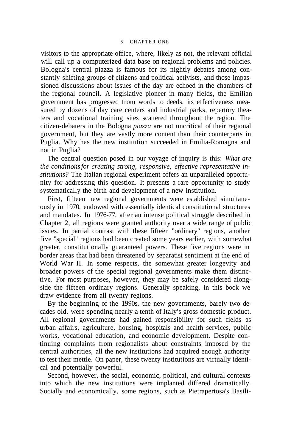### 6 CHAPTER ONE

visitors to the appropriate office, where, likely as not, the relevant official will call up a computerized data base on regional problems and policies. Bologna's central piazza is famous for its nightly debates among constantly shifting groups of citizens and political activists, and those impassioned discussions about issues of the day are echoed in the chambers of the regional council. A legislative pioneer in many fields, the Emilian government has progressed from words to deeds, its effectiveness measured by dozens of day care centers and industrial parks, repertory theaters and vocational training sites scattered throughout the region. The citizen-debaters in the Bologna *piazza* are not uncritical of their regional government, but they are vastly more content than their counterparts in Puglia. Why has the new institution succeeded in Emilia-Romagna and not in Puglia?

The central question posed in our voyage of inquiry is this: *What are the conditions for creating strong, responsive, effective representative institutions?* The Italian regional experiment offers an unparalleled opportunity for addressing this question. It presents a rare opportunity to study systematically the birth and development of a new institution.

First, fifteen new regional governments were established simultaneously in 1970, endowed with essentially identical constitutional structures and mandates. In 1976-77, after an intense political struggle described in Chapter 2, all regions were granted authority over a wide range of public issues. In partial contrast with these fifteen "ordinary" regions, another five "special" regions had been created some years earlier, with somewhat greater, constitutionally guaranteed powers. These five regions were in border areas that had been threatened by separatist sentiment at the end of World War II. In some respects, the somewhat greater longevity and broader powers of the special regional governments make them distinctive. For most purposes, however, they may be safely considered alongside the fifteen ordinary regions. Generally speaking, in this book we draw evidence from all twenty regions.

By the beginning of the 1990s, the new governments, barely two decades old, were spending nearly a tenth of Italy's gross domestic product. All regional governments had gained responsibility for such fields as urban affairs, agriculture, housing, hospitals and health services, public works, vocational education, and economic development. Despite continuing complaints from regionalists about constraints imposed by the central authorities, all the new institutions had acquired enough authority to test their mettle. On paper, these twenty institutions are virtually identical and potentially powerful.

Second, however, the social, economic, political, and cultural contexts into which the new institutions were implanted differed dramatically. Socially and economically, some regions, such as Pietrapertosa's Basili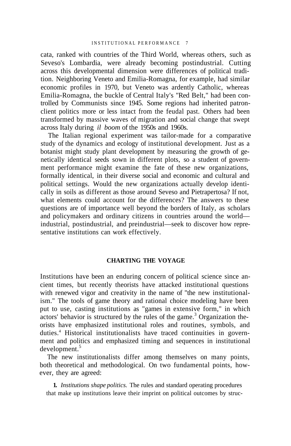cata, ranked with countries of the Third World, whereas others, such as Seveso's Lombardia, were already becoming postindustrial. Cutting across this developmental dimension were differences of political tradition. Neighboring Veneto and Emilia-Romagna, for example, had similar economic profiles in 1970, but Veneto was ardently Catholic, whereas Emilia-Romagna, the buckle of Central Italy's "Red Belt," had been controlled by Communists since 1945. Some regions had inherited patronclient politics more or less intact from the feudal past. Others had been transformed by massive waves of migration and social change that swept across Italy during *il boom* of the 1950s and 1960s.

The Italian regional experiment was tailor-made for a comparative study of the dynamics and ecology of institutional development. Just as a botanist might study plant development by measuring the growth of genetically identical seeds sown in different plots, so a student of government performance might examine the fate of these new organizations, formally identical, in their diverse social and economic and cultural and political settings. Would the new organizations actually develop identically in soils as different as those around Seveso and Pietrapertosa? If not, what elements could account for the differences? The answers to these questions are of importance well beyond the borders of Italy, as scholars and policymakers and ordinary citizens in countries around the world industrial, postindustrial, and preindustrial—seek to discover how representative institutions can work effectively.

### **CHARTING THE VOYAGE**

Institutions have been an enduring concern of political science since ancient times, but recently theorists have attacked institutional questions with renewed vigor and creativity in the name of "the new institutionalism." The tools of game theory and rational choice modeling have been put to use, casting institutions as "games in extensive form," in which  $\alpha$  actors' behavior is structured by the rules of the game.<sup>3</sup> Organization theorists have emphasized institutional roles and routines, symbols, and duties.<sup>4</sup> Historical institutionalists have traced continuities in government and politics and emphasized timing and sequences in institutional development.<sup>5</sup>

The new institutionalists differ among themselves on many points, both theoretical and methodological. On two fundamental points, however, they are agreed:

**1.** *Institutions shape politics.* The rules and standard operating procedures that make up institutions leave their imprint on political outcomes by struc-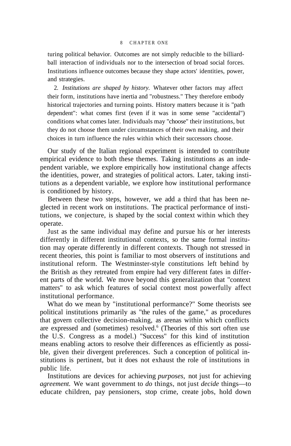### 8 CHAPTER ONE

turing political behavior. Outcomes are not simply reducible to the billiardball interaction of individuals nor to the intersection of broad social forces. Institutions influence outcomes because they shape actors' identities, power, and strategies.

2. *Institutions are shaped by history.* Whatever other factors may affect their form, institutions have inertia and "robustness." They therefore embody historical trajectories and turning points. History matters because it is "path dependent": what comes first (even if it was in some sense "accidental") conditions what comes later. Individuals may "choose" their institutions, but they do not choose them under circumstances of their own making, and their choices in turn influence the rules within which their successors choose.

Our study of the Italian regional experiment is intended to contribute empirical evidence to both these themes. Taking institutions as an independent variable, we explore empirically how institutional change affects the identities, power, and strategies of political actors. Later, taking institutions as a dependent variable, we explore how institutional performance is conditioned by history.

Between these two steps, however, we add a third that has been neglected in recent work on institutions. The practical performance of institutions, we conjecture, is shaped by the social context within which they operate.

Just as the same individual may define and pursue his or her interests differently in different institutional contexts, so the same formal institution may operate differently in different contexts. Though not stressed in recent theories, this point is familiar to most observers of institutions and institutional reform. The Westminster-style constitutions left behind by the British as they retreated from empire had very different fates in different parts of the world. We move beyond this generalization that "context matters" to ask which features of social context most powerfully affect institutional performance.

What do we mean by "institutional performance?" Some theorists see political institutions primarily as "the rules of the game," as procedures that govern collective decision-making, as arenas within which conflicts are expressed and (sometimes) resolved.<sup>6</sup> (Theories of this sort often use the U.S. Congress as a model.) "Success" for this kind of institution means enabling actors to resolve their differences as efficiently as possible, given their divergent preferences. Such a conception of political institutions is pertinent, but it does not exhaust the role of institutions in public life.

Institutions are devices for achieving *purposes,* not just for achieving *agreement.* We want government to *do* things, not just *decide* things—to educate children, pay pensioners, stop crime, create jobs, hold down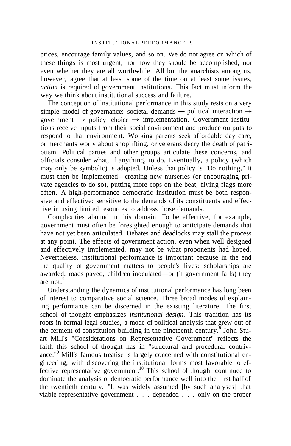prices, encourage family values, and so on. We do not agree on which of these things is most urgent, nor how they should be accomplished, nor even whether they are all worthwhile. All but the anarchists among us, however, agree that at least some of the time on at least some issues, *action* is required of government institutions. This fact must inform the way we think about institutional success and failure.

The conception of institutional performance in this study rests on a very simple model of governance: societal demands  $\rightarrow$  political interaction  $\rightarrow$ government  $\rightarrow$  policy choice  $\rightarrow$  implementation. Government institutions receive inputs from their social environment and produce outputs to respond to that environment. Working parents seek affordable day care, or merchants worry about shoplifting, or veterans decry the death of patriotism. Political parties and other groups articulate these concerns, and officials consider what, if anything, to do. Eventually, a policy (which may only be symbolic) is adopted. Unless that policy is "Do nothing," it must then be implemented—creating new nurseries (or encouraging private agencies to do so), putting more cops on the beat, flying flags more often. A high-performance democratic institution must be both responsive and effective: sensitive to the demands of its constituents and effective in using limited resources to address those demands.

Complexities abound in this domain. To be effective, for example, government must often be foresighted enough to anticipate demands that have not yet been articulated. Debates and deadlocks may stall the process at any point. The effects of government action, even when well designed and effectively implemented, may not be what proponents had hoped. Nevertheless, institutional performance is important because in the end the quality of government matters to people's lives: scholarships are awarded, roads paved, children inoculated—or (if government fails) they are not $<sup>7</sup>$ </sup>

Understanding the dynamics of institutional performance has long been of interest to comparative social science. Three broad modes of explaining performance can be discerned in the existing literature. The first school of thought emphasizes *institutional design.* This tradition has its roots in formal legal studies, a mode of political analysis that grew out of the ferment of constitution building in the nineteenth century.<sup>8</sup> John Stuart Mill's "Considerations on Representative Government" reflects the faith this school of thought has in "structural and procedural contrivance."<sup>9</sup> Mill's famous treatise is largely concerned with constitutional engineering, with discovering the institutional forms most favorable to effective representative government.<sup>10</sup> This school of thought continued to dominate the analysis of democratic performance well into the first half of the twentieth century. "It was widely assumed [by such analyses] that viable representative government . . . depended . . . only on the proper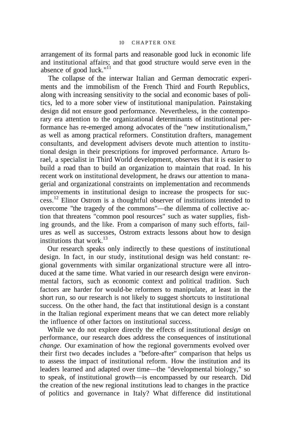arrangement of its formal parts and reasonable good luck in economic life and institutional affairs; and that good structure would serve even in the absence of good luck." $11$ 

The collapse of the interwar Italian and German democratic experiments and the immobilism of the French Third and Fourth Republics, along with increasing sensitivity to the social and economic bases of politics, led to a more sober view of institutional manipulation. Painstaking design did not ensure good performance. Nevertheless, in the contemporary era attention to the organizational determinants of institutional performance has re-emerged among advocates of the "new institutionalism," as well as among practical reformers. Constitution drafters, management consultants, and development advisers devote much attention to institutional design in their prescriptions for improved performance. Arturo Israel, a specialist in Third World development, observes that it is easier to build a road than to build an organization to maintain that road. In his recent work on institutional development, he draws our attention to managerial and organizational constraints on implementation and recommends improvements in institutional design to increase the prospects for success.<sup>12</sup> Elinor Ostrom is a thoughtful observer of institutions intended to overcome "the tragedy of the commons"—the dilemma of collective action that threatens "common pool resources" such as water supplies, fishing grounds, and the like. From a comparison of many such efforts, failures as well as successes, Ostrom extracts lessons about how to design institutions that work  $^{13}$ 

Our research speaks only indirectly to these questions of institutional design. In fact, in our study, institutional design was held constant: regional governments with similar organizational structure were all introduced at the same time. What varied in our research design were environmental factors, such as economic context and political tradition. Such factors are harder for would-be reformers to manipulate, at least in the short run, so our research is not likely to suggest shortcuts to institutional success. On the other hand, the fact that institutional design is a constant in the Italian regional experiment means that we can detect more reliably the influence of other factors on institutional success.

While we do not explore directly the effects of institutional *design* on performance, our research does address the consequences of institutional *change.* Our examination of how the regional governments evolved over their first two decades includes a "before-after" comparison that helps us to assess the impact of institutional reform. How the institution and its leaders learned and adapted over time—the "developmental biology," so to speak, of institutional growth—is encompassed by our research. Did the creation of the new regional institutions lead to changes in the practice of politics and governance in Italy? What difference did institutional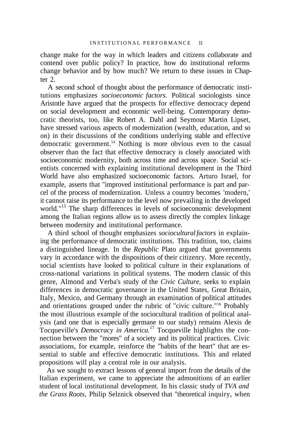change make for the way in which leaders and citizens collaborate and contend over public policy? In practice, how do institutional reforms change behavior and by how much? We return to these issues in Chapter 2.

A second school of thought about the performance of democratic institutions emphasizes *socioeconomic factors.* Political sociologists since Aristotle have argued that the prospects for effective democracy depend on social development and economic well-being. Contemporary democratic theorists, too, like Robert A. Dahl and Seymour Martin Lipset, have stressed various aspects of modernization (wealth, education, and so on) in their discussions of the conditions underlying stable and effective democratic government.<sup>14</sup> Nothing is more obvious even to the casual observer than the fact that effective democracy is closely associated with socioeconomic modernity, both across time and across space. Social scientists concerned with explaining institutional development in the Third World have also emphasized socioeconomic factors. Arturo Israel, for example, asserts that "improved institutional performance is part and parcel of the process of modernization. Unless a country becomes 'modern,' it cannot raise its performance to the level now prevailing in the developed world."<sup>15</sup> The sharp differences in levels of socioeconomic development among the Italian regions allow us to assess directly the complex linkage between modernity and institutional performance.

A third school of thought emphasizes *sociocultural factors* in explaining the performance of democratic institutions. This tradition, too, claims a distinguished lineage. In the *Republic* Plato argued that governments vary in accordance with the dispositions of their citizenry. More recently, social scientists have looked to political culture in their explanations of cross-national variations in political systems. The modern classic of this genre, Almond and Verba's study of the *Civic Culture,* seeks to explain differences in democratic governance in the United States, Great Britain, Italy, Mexico, and Germany through an examination of political attitudes and orientations grouped under the rubric of "civic culture."<sup>16</sup> Probably the most illustrious example of the sociocultural tradition of political analysis (and one that is especially germane to our study) remains Alexis de Tocqueville's *Democracy in America.*<sup>17</sup> Tocqueville highlights the connection between the "mores" of a society and its political practices. Civic associations, for example, reinforce the "habits of the heart" that are essential to stable and effective democratic institutions. This and related propositions will play a central role in our analysis.

As we sought to extract lessons of general import from the details of the Italian experiment, we came to appreciate the admonitions of an earlier student of local institutional development. In his classic study of *TVA and the Grass Roots,* Philip Selznick observed that "theoretical inquiry, when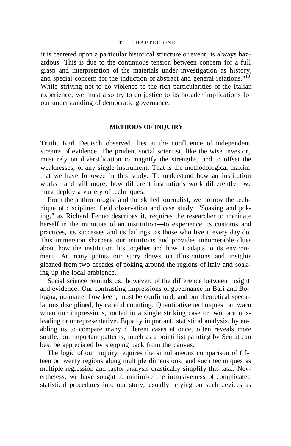it is centered upon a particular historical structure or event, is always hazardous. This is due to the continuous tension between concern for a full grasp and interpretation of the materials under investigation as history, and special concern for the induction of abstract and general relations."<sup>18</sup> While striving not to do violence to the rich particularities of the Italian experience, we must also try to do justice to its broader implications for our understanding of democratic governance.

### **METHODS OF INQUIRY**

Truth, Karl Deutsch observed, lies at the confluence of independent streams of evidence. The prudent social scientist, like the wise investor, must rely on diversification to magnify the strengths, and to offset the weaknesses, of any single instrument. That is the methodological maxim that we have followed in this study. To understand how an institution works—and still more, how different institutions work differently—we must deploy a variety of techniques.

From the anthropologist and the skilled journalist, we borrow the technique of disciplined field observation and case study. "Soaking and poking," as Richard Fenno describes it, requires the researcher to marinate herself in the minutiae of an institution—to experience its customs and practices, its successes and its failings, as those who live it every day do. This immersion sharpens our intuitions and provides innumerable clues about how the institution fits together and how it adapts to its environment. At many points our story draws on illustrations and insights gleaned from two decades of poking around the regions of Italy and soaking up the local ambience.

Social science reminds us, however, of the difference between insight and evidence. Our contrasting impressions of governance in Bari and Bologna, no matter how keen, must be confirmed, and our theoretical speculations disciplined, by careful counting. Quantitative techniques can warn when our impressions, rooted in a single striking case or two, are misleading or unrepresentative. Equally important, statistical analysis, by enabling us to compare many different cases at once, often reveals more subtle, but important patterns, much as a pointillist painting by Seurat can best be appreciated by stepping back from the canvas.

The logic of our inquiry requires the simultaneous comparison of fifteen or twenty regions along multiple dimensions, and such techniques as multiple regression and factor analysis drastically simplify this task. Nevertheless, we have sought to minimize the intrusiveness of complicated statistical procedures into our story, usually relying on such devices as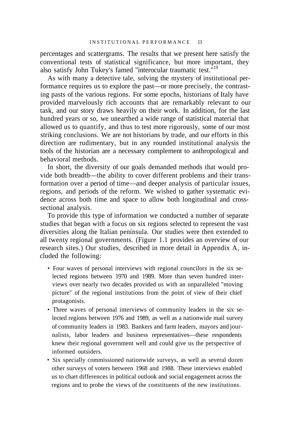percentages and scattergrams. The results that we present here satisfy the conventional tests of statistical significance, but more important, they also satisfy John Tukey's famed "interocular traumatic test."<sup>19</sup>

As with many a detective tale, solving the mystery of institutional performance requires us to explore the past—or more precisely, the contrasting pasts of the various regions. For some epochs, historians of Italy have provided marvelously rich accounts that are remarkably relevant to our task, and our story draws heavily on their work. In addition, for the last hundred years or so, we unearthed a wide range of statistical material that allowed us to quantify, and thus to test more rigorously, some of our most striking conclusions. We are not historians by trade, and our efforts in this direction are rudimentary, but in any rounded institutional analysis the tools of the historian are a necessary complement to anthropological and behavioral methods.

In short, the diversity of our goals demanded methods that would provide both breadth—the ability to cover different problems and their transformation over a period of time—and deeper analysis of particular issues, regions, and periods of the reform. We wished to gather systematic evidence across both time and space to allow both longitudinal and crosssectional analysis.

To provide this type of information we conducted a number of separate studies that began with a focus on six regions selected to represent the vast diversities along the Italian peninsula. Our studies were then extended to all twenty regional governments. (Figure 1.1 provides an overview of our research sites.) Our studies, described in more detail in Appendix A, included the following:

- Four waves of personal interviews with regional councilors in the six selected regions between 1970 and 1989. More than seven hundred interviews over nearly two decades provided us with an unparalleled "moving picture" of the regional institutions from the point of view of their chief protagonists.
- Three waves of personal interviews of community leaders in the six selected regions between 1976 and 1989, as well as a nationwide mail survey of community leaders in 1983. Bankers and farm leaders, mayors and journalists, labor leaders and business representatives—these respondents knew their regional government well and could give us the perspective of informed outsiders.
- Six specially commissioned nationwide surveys, as well as several dozen other surveys of voters between 1968 and 1988. These interviews enabled us to chart differences in political outlook and social engagement across the regions and to probe the views of the constituents of the new institutions.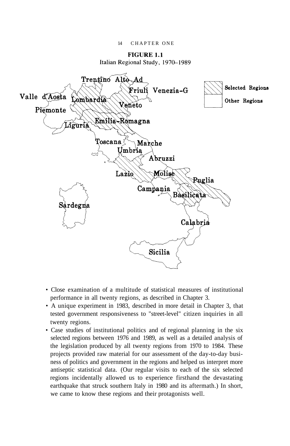14 CHAPTER ONE

**FIGURE 1.1** Italian Regional Study, 1970-1989



- Close examination of a multitude of statistical measures of institutional performance in all twenty regions, as described in Chapter 3.
- A unique experiment in 1983, described in more detail in Chapter 3, that tested government responsiveness to "street-level" citizen inquiries in all twenty regions.
- Case studies of institutional politics and of regional planning in the six selected regions between 1976 and 1989, as well as a detailed analysis of the legislation produced by all twenty regions from 1970 to 1984. These projects provided raw material for our assessment of the day-to-day business of politics and government in the regions and helped us interpret more antiseptic statistical data. (Our regular visits to each of the six selected regions incidentally allowed us to experience firsthand the devastating earthquake that struck southern Italy in 1980 and its aftermath.) In short, we came to know these regions and their protagonists well.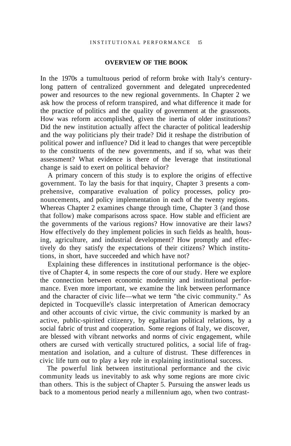### **OVERVIEW OF THE BOOK**

In the 1970s a tumultuous period of reform broke with Italy's centurylong pattern of centralized government and delegated unprecedented power and resources to the new regional governments. In Chapter 2 we ask how the process of reform transpired, and what difference it made for the practice of politics and the quality of government at the grassroots. How was reform accomplished, given the inertia of older institutions? Did the new institution actually affect the character of political leadership and the way politicians ply their trade? Did it reshape the distribution of political power and influence? Did it lead to changes that were perceptible to the constituents of the new governments, and if so, what was their assessment? What evidence is there of the leverage that institutional change is said to exert on political behavior?

A primary concern of this study is to explore the origins of effective government. To lay the basis for that inquiry, Chapter 3 presents a comprehensive, comparative evaluation of policy processes, policy pronouncements, and policy implementation in each of the twenty regions. Whereas Chapter 2 examines change through time, Chapter 3 (and those that follow) make comparisons across space. How stable and efficient are the governments of the various regions? How innovative are their laws? How effectively do they implement policies in such fields as health, housing, agriculture, and industrial development? How promptly and effectively do they satisfy the expectations of their citizens? Which institutions, in short, have succeeded and which have not?

Explaining these differences in institutional performance is the objective of Chapter 4, in some respects the core of our study. Here we explore the connection between economic modernity and institutional performance. Even more important, we examine the link between performance and the character of civic life—what we term "the civic community." As depicted in Tocqueville's classic interpretation of American democracy and other accounts of civic virtue, the civic community is marked by an active, public-spirited citizenry, by egalitarian political relations, by a social fabric of trust and cooperation. Some regions of Italy, we discover, are blessed with vibrant networks and norms of civic engagement, while others are cursed with vertically structured politics, a social life of fragmentation and isolation, and a culture of distrust. These differences in civic life turn out to play a key role in explaining institutional success.

The powerful link between institutional performance and the civic community leads us inevitably to ask why some regions are more civic than others. This is the subject of Chapter 5. Pursuing the answer leads us back to a momentous period nearly a millennium ago, when two contrast